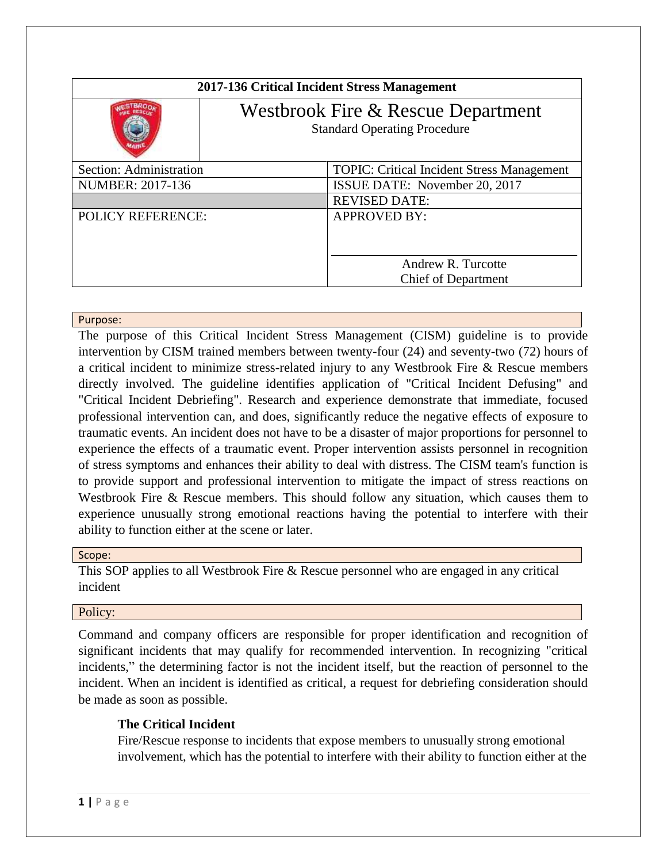| 2017-136 Critical Incident Stress Management                              |                                                   |
|---------------------------------------------------------------------------|---------------------------------------------------|
| Westbrook Fire & Rescue Department<br><b>Standard Operating Procedure</b> |                                                   |
| Section: Administration                                                   | <b>TOPIC: Critical Incident Stress Management</b> |
| <b>NUMBER: 2017-136</b>                                                   | ISSUE DATE: November 20, 2017                     |
|                                                                           | <b>REVISED DATE:</b>                              |
| <b>POLICY REFERENCE:</b>                                                  | <b>APPROVED BY:</b>                               |
|                                                                           | Andrew R. Turcotte                                |
|                                                                           | <b>Chief of Department</b>                        |

### Purpose:

The purpose of this Critical Incident Stress Management (CISM) guideline is to provide intervention by CISM trained members between twenty-four (24) and seventy-two (72) hours of a critical incident to minimize stress-related injury to any Westbrook Fire & Rescue members directly involved. The guideline identifies application of "Critical Incident Defusing" and "Critical Incident Debriefing". Research and experience demonstrate that immediate, focused professional intervention can, and does, significantly reduce the negative effects of exposure to traumatic events. An incident does not have to be a disaster of major proportions for personnel to experience the effects of a traumatic event. Proper intervention assists personnel in recognition of stress symptoms and enhances their ability to deal with distress. The CISM team's function is to provide support and professional intervention to mitigate the impact of stress reactions on Westbrook Fire & Rescue members. This should follow any situation, which causes them to experience unusually strong emotional reactions having the potential to interfere with their ability to function either at the scene or later.

### Scope:

This SOP applies to all Westbrook Fire & Rescue personnel who are engaged in any critical incident

### Policy:

Command and company officers are responsible for proper identification and recognition of significant incidents that may qualify for recommended intervention. In recognizing "critical incidents," the determining factor is not the incident itself, but the reaction of personnel to the incident. When an incident is identified as critical, a request for debriefing consideration should be made as soon as possible.

# **The Critical Incident**

Fire/Rescue response to incidents that expose members to unusually strong emotional involvement, which has the potential to interfere with their ability to function either at the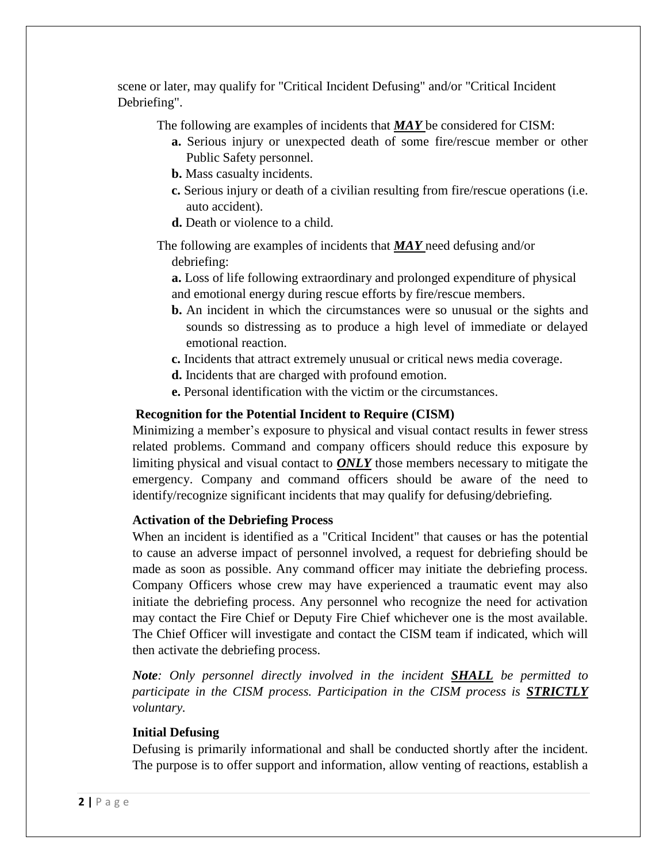scene or later, may qualify for "Critical Incident Defusing" and/or "Critical Incident Debriefing".

The following are examples of incidents that *MAY* be considered for CISM:

- **a.** Serious injury or unexpected death of some fire/rescue member or other Public Safety personnel.
- **b.** Mass casualty incidents.
- **c.** Serious injury or death of a civilian resulting from fire/rescue operations (i.e. auto accident).
- **d.** Death or violence to a child.

The following are examples of incidents that *MAY* need defusing and/or debriefing:

**a.** Loss of life following extraordinary and prolonged expenditure of physical and emotional energy during rescue efforts by fire/rescue members.

- **b.** An incident in which the circumstances were so unusual or the sights and sounds so distressing as to produce a high level of immediate or delayed emotional reaction.
- **c.** Incidents that attract extremely unusual or critical news media coverage.
- **d.** Incidents that are charged with profound emotion.
- **e.** Personal identification with the victim or the circumstances.

# **Recognition for the Potential Incident to Require (CISM)**

Minimizing a member's exposure to physical and visual contact results in fewer stress related problems. Command and company officers should reduce this exposure by limiting physical and visual contact to *ONLY* those members necessary to mitigate the emergency. Company and command officers should be aware of the need to identify/recognize significant incidents that may qualify for defusing/debriefing.

# **Activation of the Debriefing Process**

When an incident is identified as a "Critical Incident" that causes or has the potential to cause an adverse impact of personnel involved, a request for debriefing should be made as soon as possible. Any command officer may initiate the debriefing process. Company Officers whose crew may have experienced a traumatic event may also initiate the debriefing process. Any personnel who recognize the need for activation may contact the Fire Chief or Deputy Fire Chief whichever one is the most available. The Chief Officer will investigate and contact the CISM team if indicated, which will then activate the debriefing process.

*Note: Only personnel directly involved in the incident SHALL be permitted to participate in the CISM process. Participation in the CISM process is STRICTLY voluntary.*

# **Initial Defusing**

Defusing is primarily informational and shall be conducted shortly after the incident. The purpose is to offer support and information, allow venting of reactions, establish a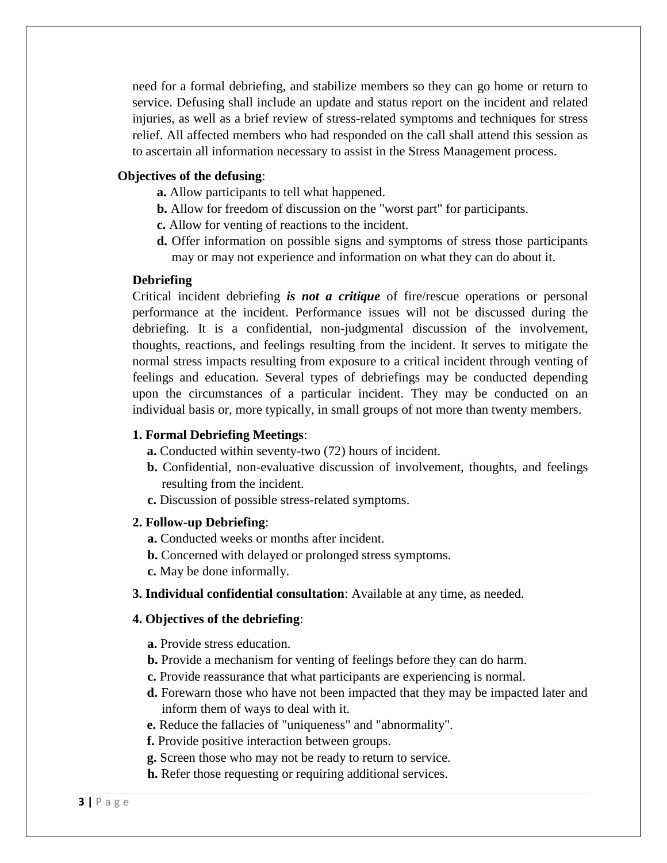need for a formal debriefing, and stabilize members so they can go home or return to service. Defusing shall include an update and status report on the incident and related injuries, as well as a brief review of stress-related symptoms and techniques for stress relief. All affected members who had responded on the call shall attend this session as to ascertain all information necessary to assist in the Stress Management process.

### **Objectives of the defusing**:

- **a.** Allow participants to tell what happened.
- **b.** Allow for freedom of discussion on the "worst part" for participants.
- **c.** Allow for venting of reactions to the incident.
- **d.** Offer information on possible signs and symptoms of stress those participants may or may not experience and information on what they can do about it.

#### **Debriefing**

Critical incident debriefing *is not a critique* of fire/rescue operations or personal performance at the incident. Performance issues will not be discussed during the debriefing. It is a confidential, non-judgmental discussion of the involvement, thoughts, reactions, and feelings resulting from the incident. It serves to mitigate the normal stress impacts resulting from exposure to a critical incident through venting of feelings and education. Several types of debriefings may be conducted depending upon the circumstances of a particular incident. They may be conducted on an individual basis or, more typically, in small groups of not more than twenty members.

#### **1. Formal Debriefing Meetings**:

- **a.** Conducted within seventy-two (72) hours of incident.
- **b.** Confidential, non-evaluative discussion of involvement, thoughts, and feelings resulting from the incident.
- **c.** Discussion of possible stress-related symptoms.

#### **2. Follow-up Debriefing**:

- **a.** Conducted weeks or months after incident.
- **b.** Concerned with delayed or prolonged stress symptoms.
- **c.** May be done informally.
- **3. Individual confidential consultation**: Available at any time, as needed.

#### **4. Objectives of the debriefing**:

**a.** Provide stress education.

- **b.** Provide a mechanism for venting of feelings before they can do harm.
- **c.** Provide reassurance that what participants are experiencing is normal.
- **d.** Forewarn those who have not been impacted that they may be impacted later and inform them of ways to deal with it.
- **e.** Reduce the fallacies of "uniqueness" and "abnormality".
- **f.** Provide positive interaction between groups.
- **g.** Screen those who may not be ready to return to service.
- **h.** Refer those requesting or requiring additional services.